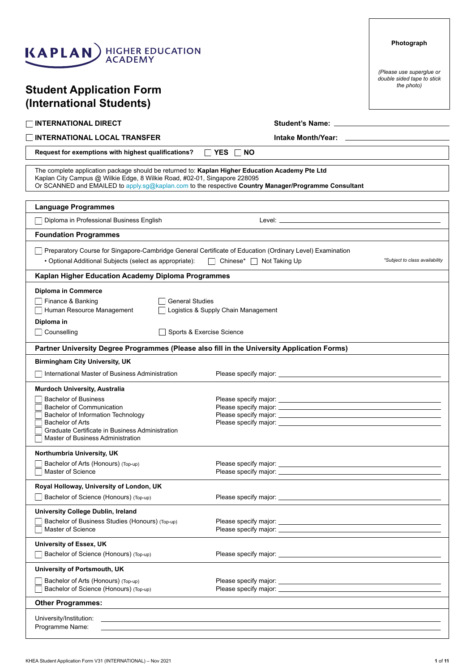| <b>Student Application Form</b><br>(International Students)                                                                                                                                                                                                                          | the photo)                     |
|--------------------------------------------------------------------------------------------------------------------------------------------------------------------------------------------------------------------------------------------------------------------------------------|--------------------------------|
| <b>INTERNATIONAL DIRECT</b>                                                                                                                                                                                                                                                          |                                |
| <b>INTERNATIONAL LOCAL TRANSFER</b>                                                                                                                                                                                                                                                  |                                |
| $\Box$ YES<br>Request for exemptions with highest qualifications?<br><b>NO</b>                                                                                                                                                                                                       |                                |
| The complete application package should be returned to: Kaplan Higher Education Academy Pte Ltd<br>Kaplan City Campus @ Wilkie Edge, 8 Wilkie Road, #02-01, Singapore 228095<br>Or SCANNED and EMAILED to apply.sg@kaplan.com to the respective Country Manager/Programme Consultant |                                |
| <b>Language Programmes</b>                                                                                                                                                                                                                                                           |                                |
| Diploma in Professional Business English                                                                                                                                                                                                                                             |                                |
| <b>Foundation Programmes</b>                                                                                                                                                                                                                                                         |                                |
| Preparatory Course for Singapore-Cambridge General Certificate of Education (Ordinary Level) Examination<br>• Optional Additional Subjects (select as appropriate):<br>□ Chinese* □ Not Taking Up                                                                                    | *Subject to class availability |
| Kaplan Higher Education Academy Diploma Programmes                                                                                                                                                                                                                                   |                                |
| <b>Diploma in Commerce</b><br>Finance & Banking<br><b>General Studies</b><br>Human Resource Management<br>Logistics & Supply Chain Management<br>Diploma in<br>Counselling<br>Sports & Exercise Science                                                                              |                                |
| Partner University Degree Programmes (Please also fill in the University Application Forms)                                                                                                                                                                                          |                                |
| <b>Birmingham City University, UK</b>                                                                                                                                                                                                                                                |                                |
| International Master of Business Administration                                                                                                                                                                                                                                      |                                |
| <b>Murdoch University, Australia</b><br><b>Bachelor of Business</b><br><b>Bachelor of Communication</b><br>Bachelor of Information Technology<br><b>Bachelor of Arts</b><br>Graduate Certificate in Business Administration<br>Master of Business Administration                     |                                |
| Northumbria University, UK                                                                                                                                                                                                                                                           |                                |
| Bachelor of Arts (Honours) (Top-up)<br>Master of Science                                                                                                                                                                                                                             |                                |
| Royal Holloway, University of London, UK                                                                                                                                                                                                                                             |                                |
| Bachelor of Science (Honours) (Top-up)                                                                                                                                                                                                                                               |                                |
| University College Dublin, Ireland                                                                                                                                                                                                                                                   |                                |
| Bachelor of Business Studies (Honours) (Top-up)<br>Master of Science                                                                                                                                                                                                                 |                                |
| University of Essex, UK                                                                                                                                                                                                                                                              |                                |
| Bachelor of Science (Honours) (Top-up)                                                                                                                                                                                                                                               |                                |
| University of Portsmouth, UK                                                                                                                                                                                                                                                         |                                |
| Bachelor of Arts (Honours) (Top-up)<br>Bachelor of Science (Honours) (Top-up)                                                                                                                                                                                                        |                                |
| <b>Other Programmes:</b>                                                                                                                                                                                                                                                             |                                |
| University/Institution:<br>,我们也不能在这里的时候,我们也不能会在这里,我们也不能会在这里的时候,我们也不能会在这里的时候,我们也不能会在这里的时候,我们也不能会在这里的时候,我们也不能<br>Programme Name:<br><u> 1989 - Johann Stoff, amerikansk politiker (d. 1989)</u>                                                                                        |                                |

# KAPLAN HIGHER EDUCATION

KHEA Student Application Form V31 (INTERNATIONAL) – Nov 2021 **1** of **11**

**Photograph**

*(Please use superglue or double sided tape to stick*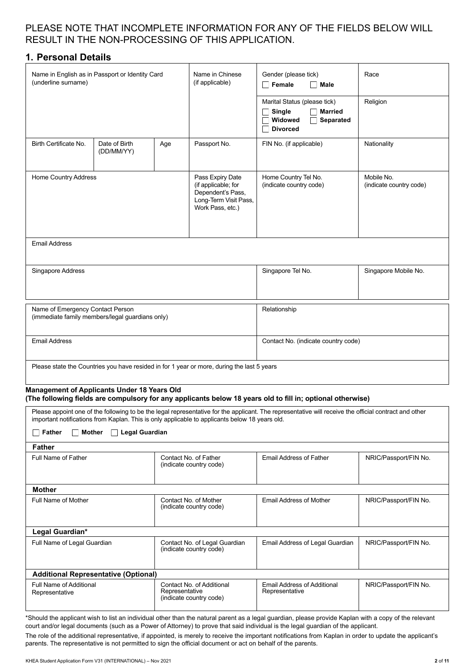#### PLEASE NOTE THAT INCOMPLETE INFORMATION FOR ANY OF THE FIELDS BELOW WILL RESULT IN THE NON-PROCESSING OF THIS APPLICATION.

#### **1. Personal Details**

| Name in English as in Passport or Identity Card<br>(underline surname)                                                            |                             | Name in Chinese<br>(if applicable) | Gender (please tick)<br>Female<br>Male                                                         | Race                                                                                                                                                  |                       |
|-----------------------------------------------------------------------------------------------------------------------------------|-----------------------------|------------------------------------|------------------------------------------------------------------------------------------------|-------------------------------------------------------------------------------------------------------------------------------------------------------|-----------------------|
|                                                                                                                                   |                             |                                    |                                                                                                | Marital Status (please tick)<br><b>Married</b><br>Single<br>Widowed<br>Separated<br><b>Divorced</b>                                                   | Religion              |
| Birth Certificate No.                                                                                                             | Date of Birth<br>(DD/MM/YY) | Age                                | Passport No.                                                                                   | FIN No. (if applicable)                                                                                                                               | Nationality           |
| Home Country Address<br>Pass Expiry Date<br>(if applicable; for<br>Dependent's Pass,<br>Long-Term Visit Pass,<br>Work Pass, etc.) |                             |                                    | Home Country Tel No.<br>(indicate country code)                                                | Mobile No.<br>(indicate country code)                                                                                                                 |                       |
| <b>Email Address</b>                                                                                                              |                             |                                    |                                                                                                |                                                                                                                                                       |                       |
| Singapore Address                                                                                                                 |                             |                                    |                                                                                                | Singapore Tel No.                                                                                                                                     | Singapore Mobile No.  |
| Name of Emergency Contact Person<br>(immediate family members/legal guardians only)                                               |                             |                                    |                                                                                                | Relationship                                                                                                                                          |                       |
| <b>Email Address</b>                                                                                                              |                             |                                    | Contact No. (indicate country code)                                                            |                                                                                                                                                       |                       |
|                                                                                                                                   |                             |                                    | Please state the Countries you have resided in for 1 year or more, during the last 5 years     |                                                                                                                                                       |                       |
| <b>Management of Applicants Under 18 Years Old</b>                                                                                |                             |                                    |                                                                                                | (The following fields are compulsory for any applicants below 18 years old to fill in; optional otherwise)                                            |                       |
|                                                                                                                                   |                             |                                    | important notifications from Kaplan. This is only applicable to applicants below 18 years old. | Please appoint one of the following to be the legal representative for the applicant. The representative will receive the official contract and other |                       |
| Father<br><b>Mother</b>                                                                                                           | $\Box$ Legal Guardian       |                                    |                                                                                                |                                                                                                                                                       |                       |
| <b>Father</b>                                                                                                                     |                             |                                    |                                                                                                |                                                                                                                                                       |                       |
| Full Name of Father                                                                                                               |                             |                                    | Contact No. of Father<br>(indicate country code)                                               | <b>Email Address of Father</b>                                                                                                                        | NRIC/Passport/FIN No. |
| <b>Mother</b>                                                                                                                     |                             |                                    |                                                                                                |                                                                                                                                                       |                       |
| <b>Full Name of Mother</b><br>Contact No. of Mother<br>(indicate country code)                                                    |                             |                                    | Email Address of Mother                                                                        | NRIC/Passport/FIN No.                                                                                                                                 |                       |
| Legal Guardian*                                                                                                                   |                             |                                    |                                                                                                |                                                                                                                                                       |                       |
| Full Name of Legal Guardian                                                                                                       |                             |                                    | Contact No. of Legal Guardian<br>(indicate country code)                                       | Email Address of Legal Guardian                                                                                                                       | NRIC/Passport/FIN No. |
| <b>Additional Representative (Optional)</b>                                                                                       |                             |                                    |                                                                                                |                                                                                                                                                       |                       |
| Full Name of Additional<br>Contact No. of Additional<br>Representative<br>Representative<br>(indicate country code)               |                             |                                    | Email Address of Additional<br>Representative                                                  | NRIC/Passport/FIN No.                                                                                                                                 |                       |
|                                                                                                                                   |                             |                                    |                                                                                                |                                                                                                                                                       |                       |

\*Should the applicant wish to list an individual other than the natural parent as a legal guardian, please provide Kaplan with a copy of the relevant court and/or legal documents (such as a Power of Attorney) to prove that said individual is the legal guardian of the applicant.

The role of the additional representative, if appointed, is merely to receive the important notifications from Kaplan in order to update the applicant's parents. The representative is not permitted to sign the official document or act on behalf of the parents.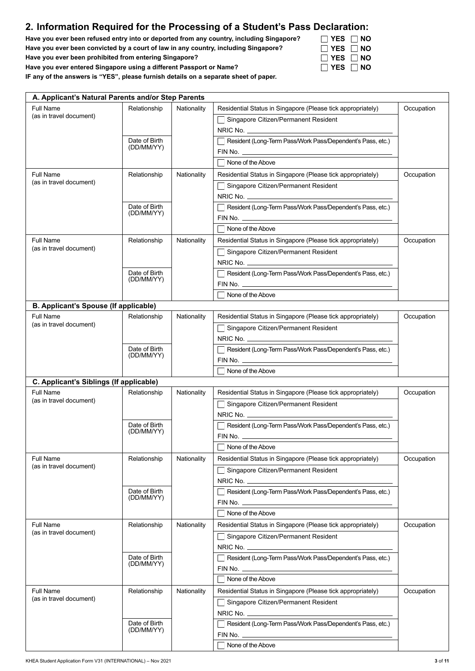## **2. Information Required for the Processing of a Student's Pass Declaration:**

**Have you ever been refused entry into or deported from any country, including Singapore? Have you ever been convicted by a court of law in any country, including Singapore? Have you ever been prohibited from entering Singapore?**

**Have you ever entered Singapore using a different Passport or Name?**

**IF any of the answers is "YES", please furnish details on a separate sheet of paper.**

| A. Applicant's Natural Parents and/or Step Parents |               |             |                                                             |            |
|----------------------------------------------------|---------------|-------------|-------------------------------------------------------------|------------|
| Full Name                                          | Relationship  | Nationality | Residential Status in Singapore (Please tick appropriately) | Occupation |
| (as in travel document)                            |               |             | Singapore Citizen/Permanent Resident                        |            |
|                                                    |               |             |                                                             |            |
|                                                    | Date of Birth |             | Resident (Long-Term Pass/Work Pass/Dependent's Pass, etc.)  |            |
|                                                    | (DD/MM/YY)    |             |                                                             |            |
|                                                    |               |             | None of the Above                                           |            |
| <b>Full Name</b>                                   | Relationship  | Nationality | Residential Status in Singapore (Please tick appropriately) | Occupation |
| (as in travel document)                            |               |             | Singapore Citizen/Permanent Resident                        |            |
|                                                    |               |             | $NRIC$ No. $\qquad \qquad \qquad$                           |            |
|                                                    | Date of Birth |             | Resident (Long-Term Pass/Work Pass/Dependent's Pass, etc.)  |            |
|                                                    | (DD/MM/YY)    |             |                                                             |            |
|                                                    |               |             | None of the Above                                           |            |
| <b>Full Name</b>                                   | Relationship  | Nationality | Residential Status in Singapore (Please tick appropriately) | Occupation |
| (as in travel document)                            |               |             | Singapore Citizen/Permanent Resident                        |            |
|                                                    |               |             | NRIC No.                                                    |            |
|                                                    | Date of Birth |             | Resident (Long-Term Pass/Work Pass/Dependent's Pass, etc.)  |            |
|                                                    | (DD/MM/YY)    |             |                                                             |            |
|                                                    |               |             | None of the Above                                           |            |
| B. Applicant's Spouse (If applicable)              |               |             |                                                             |            |
| Full Name                                          | Relationship  | Nationality | Residential Status in Singapore (Please tick appropriately) | Occupation |
| (as in travel document)                            |               |             | Singapore Citizen/Permanent Resident                        |            |
|                                                    |               |             | NRIC No. __________________________                         |            |
|                                                    | Date of Birth |             | Resident (Long-Term Pass/Work Pass/Dependent's Pass, etc.)  |            |
|                                                    | (DD/MM/YY)    |             |                                                             |            |
|                                                    |               |             | None of the Above                                           |            |
| C. Applicant's Siblings (If applicable)            |               |             |                                                             |            |
| Full Name                                          | Relationship  | Nationality | Residential Status in Singapore (Please tick appropriately) | Occupation |
| (as in travel document)                            |               |             | Singapore Citizen/Permanent Resident<br>$\Box$              |            |
|                                                    |               |             | $NRIC$ No. $\qquad \qquad \qquad \qquad$                    |            |
|                                                    | Date of Birth |             | Resident (Long-Term Pass/Work Pass/Dependent's Pass, etc.)  |            |
|                                                    | (DD/MM/YY)    |             |                                                             |            |
|                                                    |               |             | None of the Above                                           |            |
| Full Name                                          | Relationship  | Nationality | Residential Status in Singapore (Please tick appropriately) | Occupation |
| (as in travel document)                            |               |             | Singapore Citizen/Permanent Resident                        |            |
|                                                    |               |             |                                                             |            |
|                                                    | Date of Birth |             | Resident (Long-Term Pass/Work Pass/Dependent's Pass, etc.)  |            |
|                                                    | (DD/MM/YY)    |             |                                                             |            |
|                                                    |               |             | None of the Above                                           |            |
| Full Name                                          | Relationship  | Nationality | Residential Status in Singapore (Please tick appropriately) | Occupation |
| (as in travel document)                            |               |             | Singapore Citizen/Permanent Resident                        |            |
|                                                    |               |             |                                                             |            |
|                                                    | Date of Birth |             | Resident (Long-Term Pass/Work Pass/Dependent's Pass, etc.)  |            |
|                                                    | (DD/MM/YY)    |             |                                                             |            |
|                                                    |               |             | None of the Above                                           |            |
| Full Name                                          | Relationship  | Nationality | Residential Status in Singapore (Please tick appropriately) | Occupation |
| (as in travel document)                            |               |             | Singapore Citizen/Permanent Resident                        |            |
|                                                    |               |             | NRIC No. $\overline{\phantom{a}}$                           |            |
|                                                    | Date of Birth |             | Resident (Long-Term Pass/Work Pass/Dependent's Pass, etc.)  |            |
|                                                    | (DD/MM/YY)    |             |                                                             |            |
|                                                    |               |             | None of the Above                                           |            |
|                                                    |               |             |                                                             |            |

| $\Box$ YES $\Box$ NO |  |
|----------------------|--|
| IIYES ∏NO            |  |
| IIYES ∏NO            |  |
| <b>IIYES IINO</b>    |  |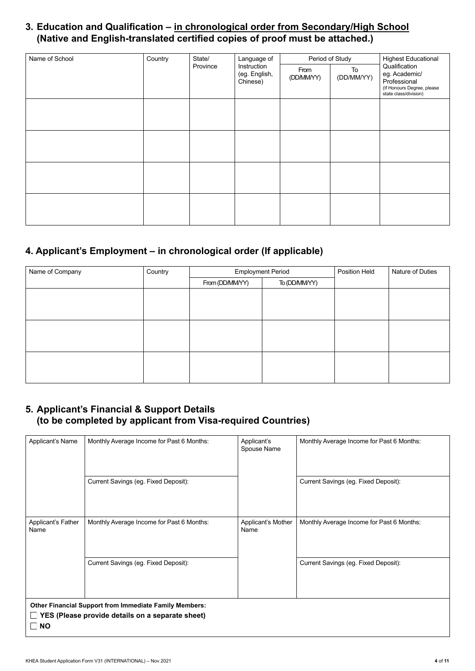## **3. Education and Qualification – in chronological order from Secondary/High School (Native and English-translated certified copies of proof must be attached.)**

| Name of School | Country | State/   | Language of               |                                  | Period of Study  | <b>Highest Educational</b>                                                                            |
|----------------|---------|----------|---------------------------|----------------------------------|------------------|-------------------------------------------------------------------------------------------------------|
|                |         | Province | (eg. English,<br>Chinese) | Instruction<br>From<br>(DD/MMYY) | To<br>(DD/MM/YY) | Qualification<br>eg. Academic/<br>Professional<br>(If Honours Degree, please<br>state class/division) |
|                |         |          |                           |                                  |                  |                                                                                                       |
|                |         |          |                           |                                  |                  |                                                                                                       |
|                |         |          |                           |                                  |                  |                                                                                                       |
|                |         |          |                           |                                  |                  |                                                                                                       |

## **4. Applicant's Employment – in chronological order (If applicable)**

| Name of Company | Country | <b>Employment Period</b> |               | Position Held | Nature of Duties |
|-----------------|---------|--------------------------|---------------|---------------|------------------|
|                 |         | From (DD/MMYY)           | To (DD/MM/YY) |               |                  |
|                 |         |                          |               |               |                  |
|                 |         |                          |               |               |                  |
|                 |         |                          |               |               |                  |
|                 |         |                          |               |               |                  |
|                 |         |                          |               |               |                  |
|                 |         |                          |               |               |                  |
|                 |         |                          |               |               |                  |
|                 |         |                          |               |               |                  |
|                 |         |                          |               |               |                  |

### **5. Applicant's Financial & Support Details (to be completed by applicant from Visa-required Countries)**

| Applicant's Name   | Monthly Average Income for Past 6 Months:                     | Applicant's        | Monthly Average Income for Past 6 Months: |
|--------------------|---------------------------------------------------------------|--------------------|-------------------------------------------|
|                    |                                                               | Spouse Name        |                                           |
|                    |                                                               |                    |                                           |
|                    |                                                               |                    |                                           |
|                    | Current Savings (eg. Fixed Deposit):                          |                    | Current Savings (eg. Fixed Deposit):      |
|                    |                                                               |                    |                                           |
|                    |                                                               |                    |                                           |
|                    |                                                               |                    |                                           |
|                    |                                                               |                    |                                           |
| Applicant's Father | Monthly Average Income for Past 6 Months:                     | Applicant's Mother | Monthly Average Income for Past 6 Months: |
| Name               |                                                               | Name               |                                           |
|                    |                                                               |                    |                                           |
|                    |                                                               |                    |                                           |
|                    | Current Savings (eg. Fixed Deposit):                          |                    | Current Savings (eg. Fixed Deposit):      |
|                    |                                                               |                    |                                           |
|                    |                                                               |                    |                                           |
|                    |                                                               |                    |                                           |
|                    |                                                               |                    |                                           |
|                    | <b>Other Financial Support from Immediate Family Members:</b> |                    |                                           |
|                    | YES (Please provide details on a separate sheet)              |                    |                                           |
| <b>NO</b>          |                                                               |                    |                                           |
|                    |                                                               |                    |                                           |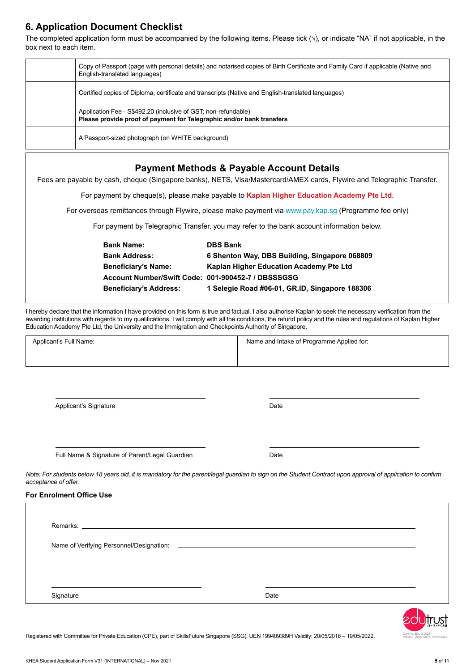## **6. Application Document Checklist**

The completed application form must be accompanied by the following items. Please tick  $(\sqrt{)}$ , or indicate "NA" if not applicable, in the box next to each item.

| Copy of Passport (page with personal details) and notarised copies of Birth Certificate and Family Card if applicable (Native and<br>English-translated languages) |
|--------------------------------------------------------------------------------------------------------------------------------------------------------------------|
| Certified copies of Diploma, certificate and transcripts (Native and English-translated languages)                                                                 |
| Application Fee - S\$492.20 (inclusive of GST; non-refundable)<br>Please provide proof of payment for Telegraphic and/or bank transfers                            |
| A Passport-sized photograph (on WHITE background)                                                                                                                  |
|                                                                                                                                                                    |

#### **Payment Methods & Payable Account Details**

Fees are payable by cash, cheque (Singapore banks), NETS, Visa/Mastercard/AMEX cards, Flywire and Telegraphic Transfer.

For payment by cheque(s), please make payable to **Kaplan Higher Education Academy Pte Ltd**.

For overseas remittances through Flywire, please make payment via www.pay.kap.sg (Programme fee only)

For payment by Telegraphic Transfer, you may refer to the bank account information below.

| <b>Bank Name:</b>                                  | <b>DBS Bank</b>                                |
|----------------------------------------------------|------------------------------------------------|
| <b>Bank Address:</b>                               | 6 Shenton Way, DBS Building, Singapore 068809  |
| <b>Beneficiary's Name:</b>                         | Kaplan Higher Education Academy Pte Ltd        |
| Account Number/Swift Code: 001-900452-7 / DBSSSGSG |                                                |
| <b>Beneficiary's Address:</b>                      | 1 Selegie Road #06-01, GR.ID, Singapore 188306 |

I hereby declare that the information I have provided on this form is true and factual. I also authorise Kaplan to seek the necessary verification from the awarding institutions with regards to my qualifications. I will comply with all the conditions, the refund policy and the rules and regulations of Kaplan Higher Education Academy Pte Ltd, the University and the Immigration and Checkpoints Authority of Singapore.

| Applicant's Full Name: | Name and Intake of Programme Applied for: |
|------------------------|-------------------------------------------|
|                        |                                           |
|                        |                                           |

Applicant's Signature

Date

Full Name & Signature of Parent/Legal Guardian

Date

*Note: For students below 18 years old, it is mandatory for the parent/legal guardian to sign on the Student Contract upon approval of application to confirm acceptance of offer.*

#### **For Enrolment Office Use**

| Signature | Date |  |
|-----------|------|--|



Registered with Committee for Private Education (CPE), part of SkillsFuture Singapore (SSG). UEN 199409389H Validity: 20/05/2018 - 19/05/2022.